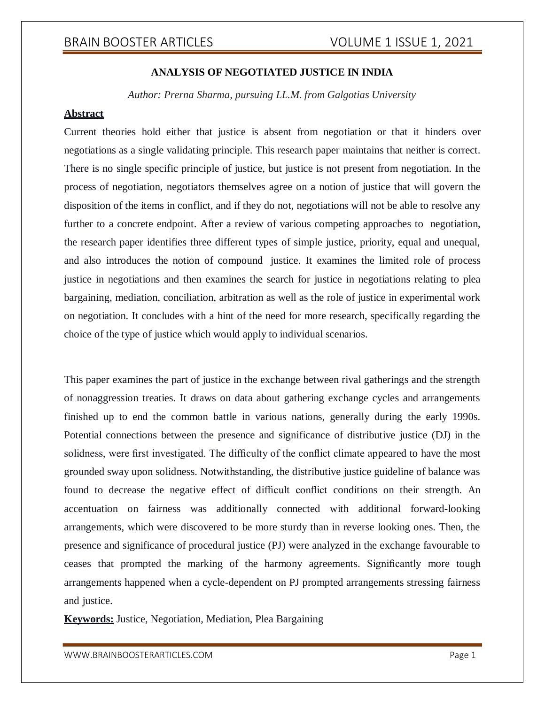### **ANALYSIS OF NEGOTIATED JUSTICE IN INDIA**

*Author: Prerna Sharma, pursuing LL.M. from Galgotias University*

### **Abstract**

Current theories hold either that justice is absent from negotiation or that it hinders over negotiations as a single validating principle. This research paper maintains that neither is correct. There is no single specific principle of justice, but justice is not present from negotiation. In the process of negotiation, negotiators themselves agree on a notion of justice that will govern the disposition of the items in conflict, and if they do not, negotiations will not be able to resolve any further to a concrete endpoint. After a review of various competing approaches to negotiation, the research paper identifies three different types of simple justice, priority, equal and unequal, and also introduces the notion of compound justice. It examines the limited role of process justice in negotiations and then examines the search for justice in negotiations relating to plea bargaining, mediation, conciliation, arbitration as well as the role of justice in experimental work on negotiation. It concludes with a hint of the need for more research, specifically regarding the choice of the type of justice which would apply to individual scenarios.

This paper examines the part of justice in the exchange between rival gatherings and the strength of nonaggression treaties. It draws on data about gathering exchange cycles and arrangements finished up to end the common battle in various nations, generally during the early 1990s. Potential connections between the presence and significance of distributive justice (DJ) in the solidness, were first investigated. The difficulty of the conflict climate appeared to have the most grounded sway upon solidness. Notwithstanding, the distributive justice guideline of balance was found to decrease the negative effect of difficult conflict conditions on their strength. An accentuation on fairness was additionally connected with additional forward-looking arrangements, which were discovered to be more sturdy than in reverse looking ones. Then, the presence and significance of procedural justice (PJ) were analyzed in the exchange favourable to ceases that prompted the marking of the harmony agreements. Significantly more tough arrangements happened when a cycle-dependent on PJ prompted arrangements stressing fairness and justice.

**Keywords:** Justice, Negotiation, Mediation, Plea Bargaining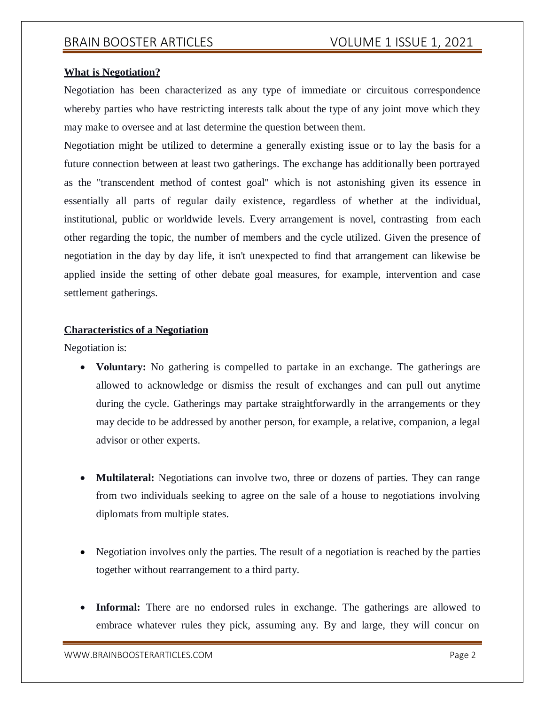#### **What is Negotiation?**

Negotiation has been characterized as any type of immediate or circuitous correspondence whereby parties who have restricting interests talk about the type of any joint move which they may make to oversee and at last determine the question between them.

Negotiation might be utilized to determine a generally existing issue or to lay the basis for a future connection between at least two gatherings. The exchange has additionally been portrayed as the "transcendent method of contest goal" which is not astonishing given its essence in essentially all parts of regular daily existence, regardless of whether at the individual, institutional, public or worldwide levels. Every arrangement is novel, contrasting from each other regarding the topic, the number of members and the cycle utilized. Given the presence of negotiation in the day by day life, it isn't unexpected to find that arrangement can likewise be applied inside the setting of other debate goal measures, for example, intervention and case settlement gatherings.

#### **Characteristics of a Negotiation**

Negotiation is:

- **Voluntary:** No gathering is compelled to partake in an exchange. The gatherings are allowed to acknowledge or dismiss the result of exchanges and can pull out anytime during the cycle. Gatherings may partake straightforwardly in the arrangements or they may decide to be addressed by another person, for example, a relative, companion, a legal advisor or other experts.
- **Multilateral:** Negotiations can involve two, three or dozens of parties. They can range from two individuals seeking to agree on the sale of a house to negotiations involving diplomats from multiple states.
- Negotiation involves only the parties. The result of a negotiation is reached by the parties together without rearrangement to a third party.
- **Informal:** There are no endorsed rules in exchange. The gatherings are allowed to embrace whatever rules they pick, assuming any. By and large, they will concur on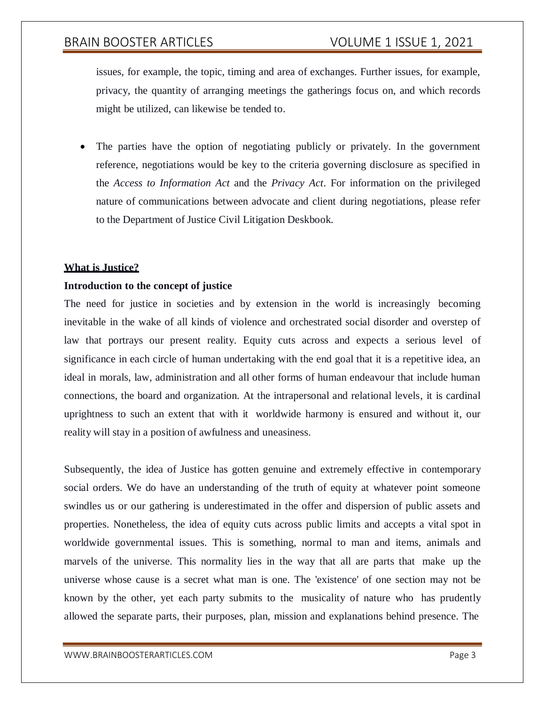issues, for example, the topic, timing and area of exchanges. Further issues, for example, privacy, the quantity of arranging meetings the gatherings focus on, and which records might be utilized, can likewise be tended to.

 The parties have the option of negotiating publicly or privately. In the government reference, negotiations would be key to the criteria governing disclosure as specified in the *Access to Information Act* and the *Privacy Act*. For information on the privileged nature of communications between advocate and client during negotiations, please refer to the Department of Justice Civil Litigation Deskbook.

#### **What is Justice?**

#### **Introduction to the concept of justice**

The need for justice in societies and by extension in the world is increasingly becoming inevitable in the wake of all kinds of violence and orchestrated social disorder and overstep of law that portrays our present reality. Equity cuts across and expects a serious level of significance in each circle of human undertaking with the end goal that it is a repetitive idea, an ideal in morals, law, administration and all other forms of human endeavour that include human connections, the board and organization. At the intrapersonal and relational levels, it is cardinal uprightness to such an extent that with it worldwide harmony is ensured and without it, our reality will stay in a position of awfulness and uneasiness.

Subsequently, the idea of Justice has gotten genuine and extremely effective in contemporary social orders. We do have an understanding of the truth of equity at whatever point someone swindles us or our gathering is underestimated in the offer and dispersion of public assets and properties. Nonetheless, the idea of equity cuts across public limits and accepts a vital spot in worldwide governmental issues. This is something, normal to man and items, animals and marvels of the universe. This normality lies in the way that all are parts that make up the universe whose cause is a secret what man is one. The 'existence' of one section may not be known by the other, yet each party submits to the musicality of nature who has prudently allowed the separate parts, their purposes, plan, mission and explanations behind presence. The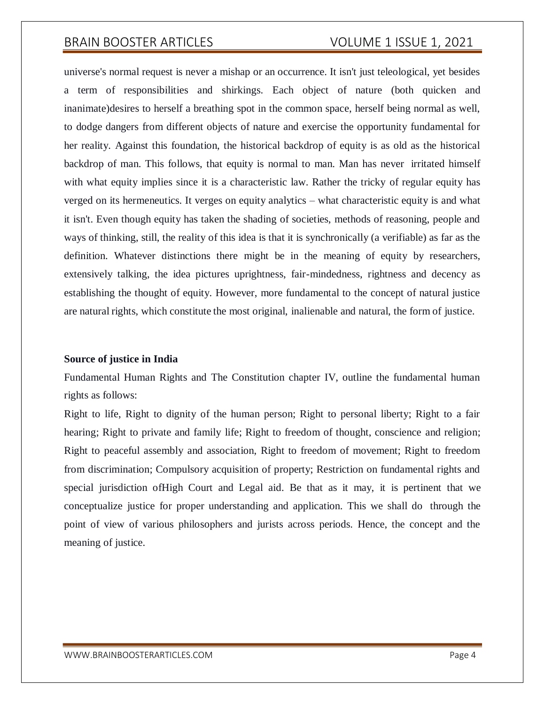universe's normal request is never a mishap or an occurrence. It isn't just teleological, yet besides a term of responsibilities and shirkings. Each object of nature (both quicken and inanimate)desires to herself a breathing spot in the common space, herself being normal as well, to dodge dangers from different objects of nature and exercise the opportunity fundamental for her reality. Against this foundation, the historical backdrop of equity is as old as the historical backdrop of man. This follows, that equity is normal to man. Man has never irritated himself with what equity implies since it is a characteristic law. Rather the tricky of regular equity has verged on its hermeneutics. It verges on equity analytics – what characteristic equity is and what it isn't. Even though equity has taken the shading of societies, methods of reasoning, people and ways of thinking, still, the reality of this idea is that it is synchronically (a verifiable) as far as the definition. Whatever distinctions there might be in the meaning of equity by researchers, extensively talking, the idea pictures uprightness, fair-mindedness, rightness and decency as establishing the thought of equity. However, more fundamental to the concept of natural justice are natural rights, which constitute the most original, inalienable and natural, the form of justice.

#### **Source of justice in India**

Fundamental Human Rights and The Constitution chapter IV, outline the fundamental human rights as follows:

Right to life, Right to dignity of the human person; Right to personal liberty; Right to a fair hearing; Right to private and family life; Right to freedom of thought, conscience and religion; Right to peaceful assembly and association, Right to freedom of movement; Right to freedom from discrimination; Compulsory acquisition of property; Restriction on fundamental rights and special jurisdiction ofHigh Court and Legal aid. Be that as it may, it is pertinent that we conceptualize justice for proper understanding and application. This we shall do through the point of view of various philosophers and jurists across periods. Hence, the concept and the meaning of justice.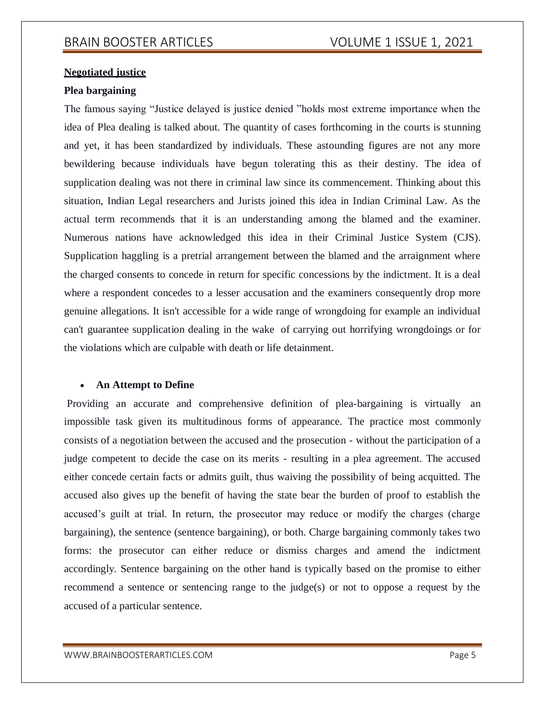### **Negotiated justice**

### **Plea bargaining**

The famous saying "Justice delayed is justice denied "holds most extreme importance when the idea of Plea dealing is talked about. The quantity of cases forthcoming in the courts is stunning and yet, it has been standardized by individuals. These astounding figures are not any more bewildering because individuals have begun tolerating this as their destiny. The idea of supplication dealing was not there in criminal law since its commencement. Thinking about this situation, Indian Legal researchers and Jurists joined this idea in Indian Criminal Law. As the actual term recommends that it is an understanding among the blamed and the examiner. Numerous nations have acknowledged this idea in their Criminal Justice System (CJS). Supplication haggling is a pretrial arrangement between the blamed and the arraignment where the charged consents to concede in return for specific concessions by the indictment. It is a deal where a respondent concedes to a lesser accusation and the examiners consequently drop more genuine allegations. It isn't accessible for a wide range of wrongdoing for example an individual can't guarantee supplication dealing in the wake of carrying out horrifying wrongdoings or for the violations which are culpable with death or life detainment.

#### **An Attempt to Define**

Providing an accurate and comprehensive definition of plea-bargaining is virtually an impossible task given its multitudinous forms of appearance. The practice most commonly consists of a negotiation between the accused and the prosecution - without the participation of a judge competent to decide the case on its merits - resulting in a plea agreement. The accused either concede certain facts or admits guilt, thus waiving the possibility of being acquitted. The accused also gives up the benefit of having the state bear the burden of proof to establish the accused's guilt at trial. In return, the prosecutor may reduce or modify the charges (charge bargaining), the sentence (sentence bargaining), or both. Charge bargaining commonly takes two forms: the prosecutor can either reduce or dismiss charges and amend the indictment accordingly. Sentence bargaining on the other hand is typically based on the promise to either recommend a sentence or sentencing range to the judge(s) or not to oppose a request by the accused of a particular sentence.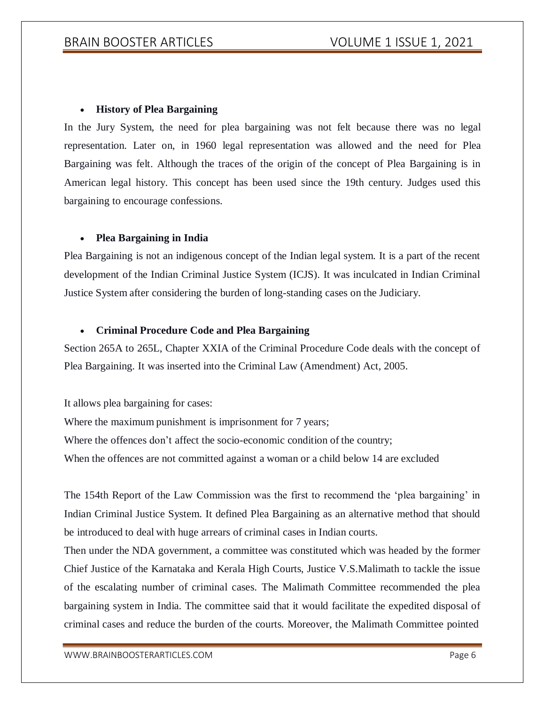### **History of Plea Bargaining**

In the Jury System, the need for plea bargaining was not felt because there was no legal representation. Later on, in 1960 legal representation was allowed and the need for Plea Bargaining was felt. Although the traces of the origin of the concept of Plea Bargaining is in American legal history. This concept has been used since the 19th century. Judges used this bargaining to encourage confessions.

#### **Plea Bargaining in India**

Plea Bargaining is not an indigenous concept of the Indian legal system. It is a part of the recent development of the Indian Criminal Justice System (ICJS). It was inculcated in Indian Criminal Justice System after considering the burden of long-standing cases on the Judiciary.

### **Criminal Procedure Code and Plea Bargaining**

Section 265A to 265L, Chapter XXIA of the Criminal Procedure Code deals with the concept of Plea Bargaining. It was inserted into the Criminal Law (Amendment) Act, 2005.

It allows plea bargaining for cases:

Where the maximum punishment is imprisonment for 7 years; Where the offences don't affect the socio-economic condition of the country; When the offences are not committed against a woman or a child below 14 are excluded

The 154th Report of the Law Commission was the first to recommend the 'plea bargaining' in Indian Criminal Justice System. It defined Plea Bargaining as an alternative method that should be introduced to deal with huge arrears of criminal cases in Indian courts.

Then under the NDA government, a committee was constituted which was headed by the former Chief Justice of the Karnataka and Kerala High Courts, Justice V.S.Malimath to tackle the issue of the escalating number of criminal cases. The Malimath Committee recommended the plea bargaining system in India. The committee said that it would facilitate the expedited disposal of criminal cases and reduce the burden of the courts. Moreover, the Malimath Committee pointed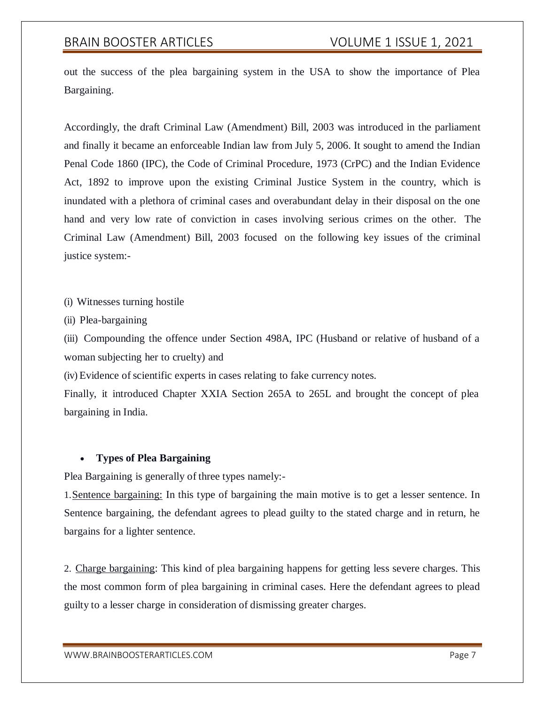out the success of the plea bargaining system in the USA to show the importance of Plea Bargaining.

Accordingly, the draft Criminal Law (Amendment) Bill, 2003 was introduced in the parliament and finally it became an enforceable Indian law from July 5, 2006. It sought to amend the Indian Penal Code 1860 (IPC), the Code of Criminal Procedure, 1973 (CrPC) and the Indian Evidence Act, 1892 to improve upon the existing Criminal Justice System in the country, which is inundated with a plethora of criminal cases and overabundant delay in their disposal on the one hand and very low rate of conviction in cases involving serious crimes on the other. The Criminal Law (Amendment) Bill, 2003 focused on the following key issues of the criminal justice system:-

(i) Witnesses turning hostile

(ii) Plea-bargaining

(iii) Compounding the offence under Section 498A, IPC (Husband or relative of husband of a woman subjecting her to cruelty) and

(iv) Evidence of scientific experts in cases relating to fake currency notes.

Finally, it introduced Chapter XXIA Section 265A to 265L and brought the concept of plea bargaining in India.

#### **Types of Plea Bargaining**

Plea Bargaining is generally of three types namely:-

1.Sentence bargaining: In this type of bargaining the main motive is to get a lesser sentence. In Sentence bargaining, the defendant agrees to plead guilty to the stated charge and in return, he bargains for a lighter sentence.

2. Charge bargaining: This kind of plea bargaining happens for getting less severe charges. This the most common form of plea bargaining in criminal cases. Here the defendant agrees to plead guilty to a lesser charge in consideration of dismissing greater charges.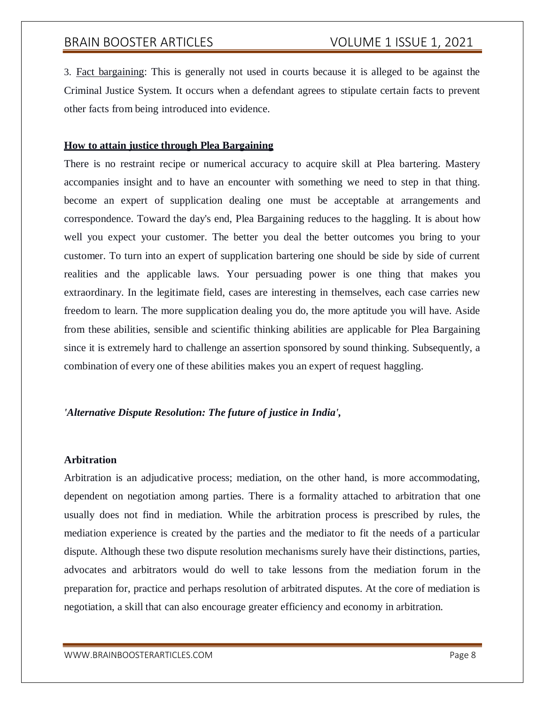3. Fact bargaining: This is generally not used in courts because it is alleged to be against the Criminal Justice System. It occurs when a defendant agrees to stipulate certain facts to prevent other facts from being introduced into evidence.

#### **How to attain justice through Plea Bargaining**

There is no restraint recipe or numerical accuracy to acquire skill at Plea bartering. Mastery accompanies insight and to have an encounter with something we need to step in that thing. become an expert of supplication dealing one must be acceptable at arrangements and correspondence. Toward the day's end, Plea Bargaining reduces to the haggling. It is about how well you expect your customer. The better you deal the better outcomes you bring to your customer. To turn into an expert of supplication bartering one should be side by side of current realities and the applicable laws. Your persuading power is one thing that makes you extraordinary. In the legitimate field, cases are interesting in themselves, each case carries new freedom to learn. The more supplication dealing you do, the more aptitude you will have. Aside from these abilities, sensible and scientific thinking abilities are applicable for Plea Bargaining since it is extremely hard to challenge an assertion sponsored by sound thinking. Subsequently, a combination of every one of these abilities makes you an expert of request haggling.

#### *'Alternative Dispute Resolution: The future of justice in India',*

#### **Arbitration**

Arbitration is an adjudicative process; mediation, on the other hand, is more accommodating, dependent on negotiation among parties. There is a formality attached to arbitration that one usually does not find in mediation. While the arbitration process is prescribed by rules, the mediation experience is created by the parties and the mediator to fit the needs of a particular dispute. Although these two dispute resolution mechanisms surely have their distinctions, parties, advocates and arbitrators would do well to take lessons from the mediation forum in the preparation for, practice and perhaps resolution of arbitrated disputes. At the core of mediation is negotiation, a skill that can also encourage greater efficiency and economy in arbitration.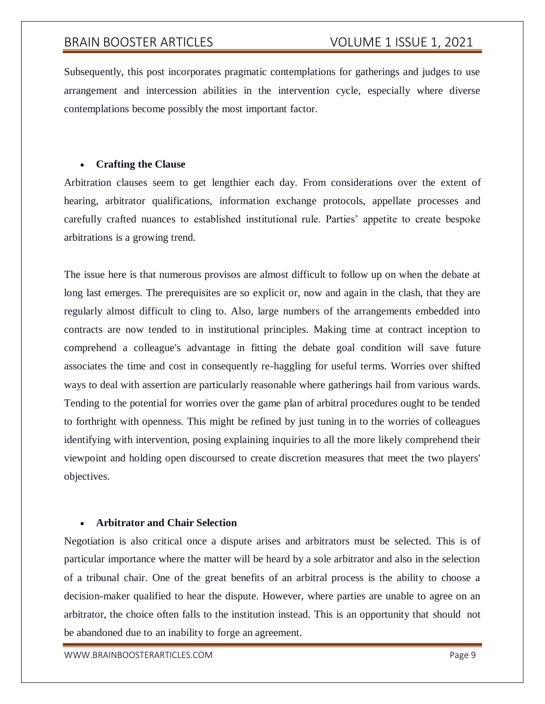Subsequently, this post incorporates pragmatic contemplations for gatherings and judges to use arrangement and intercession abilities in the intervention cycle, especially where diverse contemplations become possibly the most important factor.

### **Crafting the Clause**

Arbitration clauses seem to get lengthier each day. From considerations over the extent of hearing, arbitrator qualifications, information exchange protocols, appellate processes and carefully crafted nuances to established institutional rule. Parties' appetite to create bespoke arbitrations is a growing trend.

The issue here is that numerous provisos are almost difficult to follow up on when the debate at long last emerges. The prerequisites are so explicit or, now and again in the clash, that they are regularly almost difficult to cling to. Also, large numbers of the arrangements embedded into contracts are now tended to in institutional principles. Making time at contract inception to comprehend a colleague's advantage in fitting the debate goal condition will save future associates the time and cost in consequently re-haggling for useful terms. Worries over shifted ways to deal with assertion are particularly reasonable where gatherings hail from various wards. Tending to the potential for worries over the game plan of arbitral procedures ought to be tended to forthright with openness. This might be refined by just tuning in to the worries of colleagues identifying with intervention, posing explaining inquiries to all the more likely comprehend their viewpoint and holding open discoursed to create discretion measures that meet the two players' objectives.

#### **Arbitrator and Chair Selection**

Negotiation is also critical once a dispute arises and arbitrators must be selected. This is of particular importance where the matter will be heard by a sole arbitrator and also in the selection of a tribunal chair. One of the great benefits of an arbitral process is the ability to choose a decision-maker qualified to hear the dispute. However, where parties are unable to agree on an arbitrator, the choice often falls to the institution instead. This is an opportunity that should not be abandoned due to an inability to forge an agreement.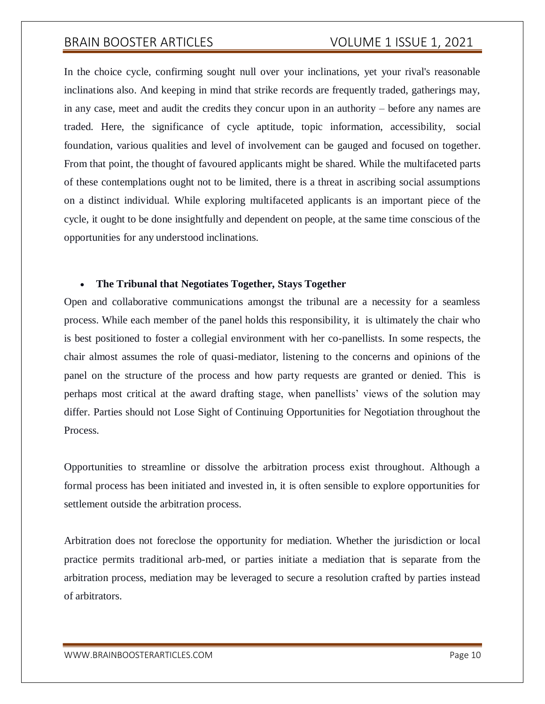In the choice cycle, confirming sought null over your inclinations, yet your rival's reasonable inclinations also. And keeping in mind that strike records are frequently traded, gatherings may, in any case, meet and audit the credits they concur upon in an authority – before any names are traded. Here, the significance of cycle aptitude, topic information, accessibility, social foundation, various qualities and level of involvement can be gauged and focused on together. From that point, the thought of favoured applicants might be shared. While the multifaceted parts of these contemplations ought not to be limited, there is a threat in ascribing social assumptions on a distinct individual. While exploring multifaceted applicants is an important piece of the cycle, it ought to be done insightfully and dependent on people, at the same time conscious of the opportunities for any understood inclinations.

#### **The Tribunal that Negotiates Together, Stays Together**

Open and collaborative communications amongst the tribunal are a necessity for a seamless process. While each member of the panel holds this responsibility, it is ultimately the chair who is best positioned to foster a collegial environment with her co-panellists. In some respects, the chair almost assumes the role of quasi-mediator, listening to the concerns and opinions of the panel on the structure of the process and how party requests are granted or denied. This is perhaps most critical at the award drafting stage, when panellists' views of the solution may differ. Parties should not Lose Sight of Continuing Opportunities for Negotiation throughout the Process.

Opportunities to streamline or dissolve the arbitration process exist throughout. Although a formal process has been initiated and invested in, it is often sensible to explore opportunities for settlement outside the arbitration process.

Arbitration does not foreclose the opportunity for mediation. Whether the jurisdiction or local practice permits traditional arb-med, or parties initiate a mediation that is separate from the arbitration process, mediation may be leveraged to secure a resolution crafted by parties instead of arbitrators.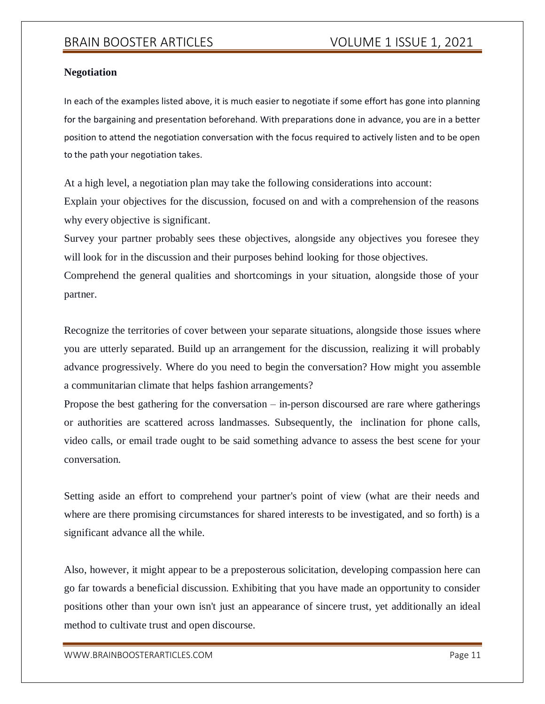### **Negotiation**

In each of the examples listed above, it is much easier to negotiate if some effort has gone into planning for the bargaining and presentation beforehand. With preparations done in advance, you are in a better position to attend the negotiation conversation with the focus required to actively listen and to be open to the path your negotiation takes.

At a high level, a negotiation plan may take the following considerations into account: Explain your objectives for the discussion, focused on and with a comprehension of the reasons why every objective is significant.

Survey your partner probably sees these objectives, alongside any objectives you foresee they will look for in the discussion and their purposes behind looking for those objectives.

Comprehend the general qualities and shortcomings in your situation, alongside those of your partner.

Recognize the territories of cover between your separate situations, alongside those issues where you are utterly separated. Build up an arrangement for the discussion, realizing it will probably advance progressively. Where do you need to begin the conversation? How might you assemble a communitarian climate that helps fashion arrangements?

Propose the best gathering for the conversation – in-person discoursed are rare where gatherings or authorities are scattered across landmasses. Subsequently, the inclination for phone calls, video calls, or email trade ought to be said something advance to assess the best scene for your conversation.

Setting aside an effort to comprehend your partner's point of view (what are their needs and where are there promising circumstances for shared interests to be investigated, and so forth) is a significant advance all the while.

Also, however, it might appear to be a preposterous solicitation, developing compassion here can go far towards a beneficial discussion. Exhibiting that you have made an opportunity to consider positions other than your own isn't just an appearance of sincere trust, yet additionally an ideal method to cultivate trust and open discourse.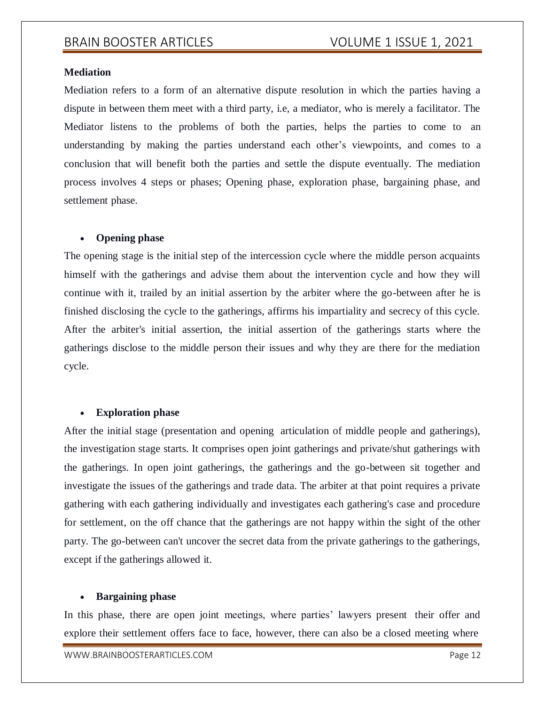#### **Mediation**

Mediation refers to a form of an alternative dispute resolution in which the parties having a dispute in between them meet with a third party, i.e, a mediator, who is merely a facilitator. The Mediator listens to the problems of both the parties, helps the parties to come to an understanding by making the parties understand each other's viewpoints, and comes to a conclusion that will benefit both the parties and settle the dispute eventually. The mediation process involves 4 steps or phases; Opening phase, exploration phase, bargaining phase, and settlement phase.

#### **Opening phase**

The opening stage is the initial step of the intercession cycle where the middle person acquaints himself with the gatherings and advise them about the intervention cycle and how they will continue with it, trailed by an initial assertion by the arbiter where the go-between after he is finished disclosing the cycle to the gatherings, affirms his impartiality and secrecy of this cycle. After the arbiter's initial assertion, the initial assertion of the gatherings starts where the gatherings disclose to the middle person their issues and why they are there for the mediation cycle.

#### **Exploration phase**

After the initial stage (presentation and opening articulation of middle people and gatherings), the investigation stage starts. It comprises open joint gatherings and private/shut gatherings with the gatherings. In open joint gatherings, the gatherings and the go-between sit together and investigate the issues of the gatherings and trade data. The arbiter at that point requires a private gathering with each gathering individually and investigates each gathering's case and procedure for settlement, on the off chance that the gatherings are not happy within the sight of the other party. The go-between can't uncover the secret data from the private gatherings to the gatherings, except if the gatherings allowed it.

#### **Bargaining phase**

In this phase, there are open joint meetings, where parties' lawyers present their offer and explore their settlement offers face to face, however, there can also be a closed meeting where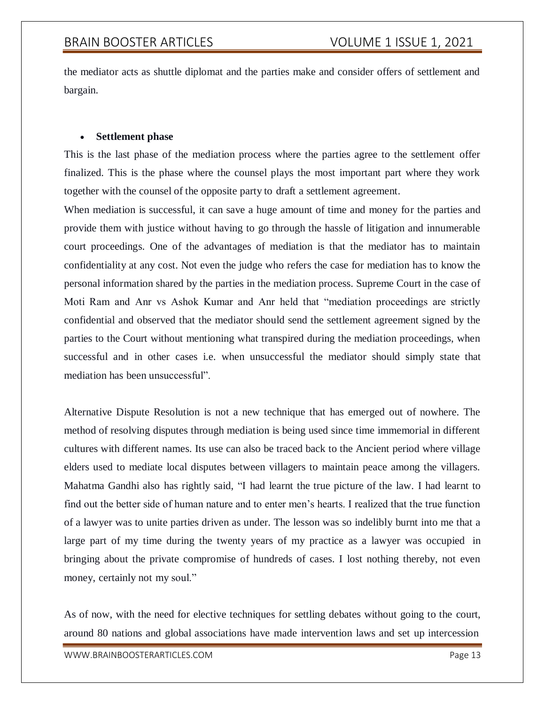the mediator acts as shuttle diplomat and the parties make and consider offers of settlement and bargain.

#### **Settlement phase**

This is the last phase of the mediation process where the parties agree to the settlement offer finalized. This is the phase where the counsel plays the most important part where they work together with the counsel of the opposite party to draft a settlement agreement.

When mediation is successful, it can save a huge amount of time and money for the parties and provide them with justice without having to go through the hassle of litigation and innumerable court proceedings. One of the advantages of mediation is that the mediator has to maintain confidentiality at any cost. Not even the judge who refers the case for mediation has to know the personal information shared by the parties in the mediation process. Supreme Court in the case of Moti Ram and Anr vs Ashok Kumar and Anr held that "mediation proceedings are strictly confidential and observed that the mediator should send the settlement agreement signed by the parties to the Court without mentioning what transpired during the mediation proceedings, when successful and in other cases i.e. when unsuccessful the mediator should simply state that mediation has been unsuccessful".

Alternative Dispute Resolution is not a new technique that has emerged out of nowhere. The method of resolving disputes through mediation is being used since time immemorial in different cultures with different names. Its use can also be traced back to the Ancient period where village elders used to mediate local disputes between villagers to maintain peace among the villagers. Mahatma Gandhi also has rightly said, "I had learnt the true picture of the law. I had learnt to find out the better side of human nature and to enter men's hearts. I realized that the true function of a lawyer was to unite parties driven as under. The lesson was so indelibly burnt into me that a large part of my time during the twenty years of my practice as a lawyer was occupied in bringing about the private compromise of hundreds of cases. I lost nothing thereby, not even money, certainly not my soul."

As of now, with the need for elective techniques for settling debates without going to the court, around 80 nations and global associations have made intervention laws and set up intercession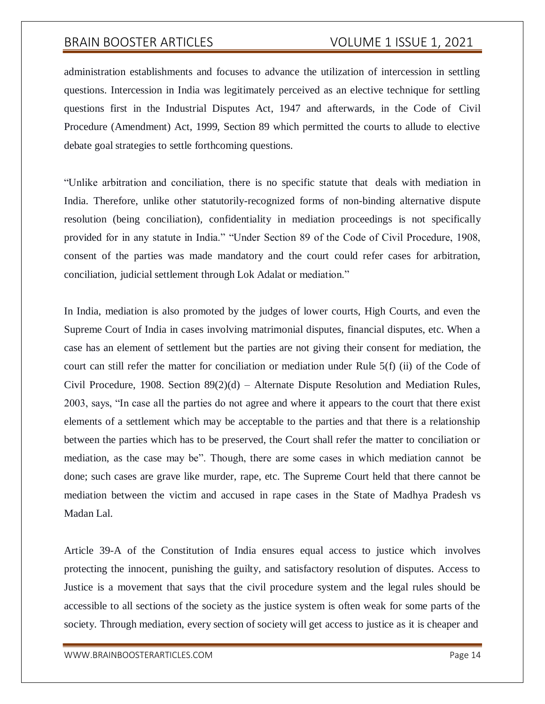administration establishments and focuses to advance the utilization of intercession in settling questions. Intercession in India was legitimately perceived as an elective technique for settling questions first in the Industrial Disputes Act, 1947 and afterwards, in the Code of Civil Procedure (Amendment) Act, 1999, Section 89 which permitted the courts to allude to elective debate goal strategies to settle forthcoming questions.

"Unlike arbitration and conciliation, there is no specific statute that deals with mediation in India. Therefore, unlike other statutorily-recognized forms of non-binding alternative dispute resolution (being conciliation), confidentiality in mediation proceedings is not specifically provided for in any statute in India." "Under Section 89 of the Code of Civil Procedure, 1908, consent of the parties was made mandatory and the court could refer cases for arbitration, conciliation, judicial settlement through Lok Adalat or mediation."

In India, mediation is also promoted by the judges of lower courts, High Courts, and even the Supreme Court of India in cases involving matrimonial disputes, financial disputes, etc. When a case has an element of settlement but the parties are not giving their consent for mediation, the court can still refer the matter for conciliation or mediation under Rule 5(f) (ii) of the Code of Civil Procedure, 1908. Section  $89(2)(d)$  – Alternate Dispute Resolution and Mediation Rules, 2003, says, "In case all the parties do not agree and where it appears to the court that there exist elements of a settlement which may be acceptable to the parties and that there is a relationship between the parties which has to be preserved, the Court shall refer the matter to conciliation or mediation, as the case may be". Though, there are some cases in which mediation cannot be done; such cases are grave like murder, rape, etc. The Supreme Court held that there cannot be mediation between the victim and accused in rape cases in the State of Madhya Pradesh vs Madan Lal.

Article 39-A of the Constitution of India ensures equal access to justice which involves protecting the innocent, punishing the guilty, and satisfactory resolution of disputes. Access to Justice is a movement that says that the civil procedure system and the legal rules should be accessible to all sections of the society as the justice system is often weak for some parts of the society. Through mediation, every section of society will get access to justice as it is cheaper and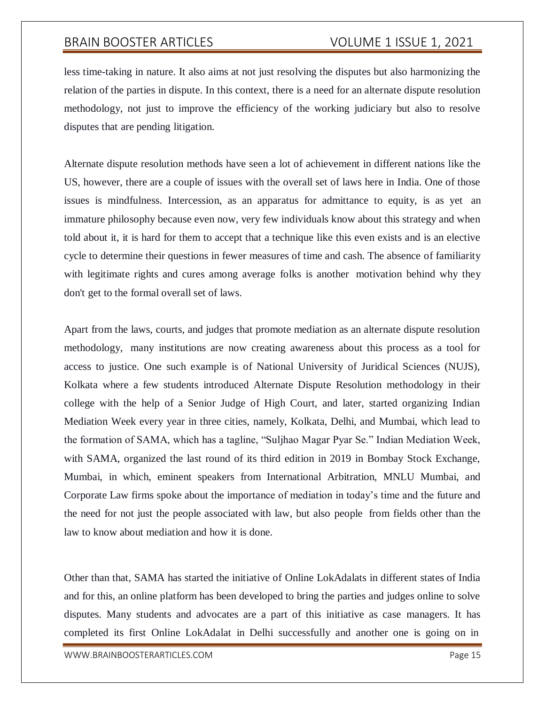less time-taking in nature. It also aims at not just resolving the disputes but also harmonizing the relation of the parties in dispute. In this context, there is a need for an alternate dispute resolution methodology, not just to improve the efficiency of the working judiciary but also to resolve disputes that are pending litigation.

Alternate dispute resolution methods have seen a lot of achievement in different nations like the US, however, there are a couple of issues with the overall set of laws here in India. One of those issues is mindfulness. Intercession, as an apparatus for admittance to equity, is as yet an immature philosophy because even now, very few individuals know about this strategy and when told about it, it is hard for them to accept that a technique like this even exists and is an elective cycle to determine their questions in fewer measures of time and cash. The absence of familiarity with legitimate rights and cures among average folks is another motivation behind why they don't get to the formal overall set of laws.

Apart from the laws, courts, and judges that promote mediation as an alternate dispute resolution methodology, many institutions are now creating awareness about this process as a tool for access to justice. One such example is of National University of Juridical Sciences (NUJS), Kolkata where a few students introduced Alternate Dispute Resolution methodology in their college with the help of a Senior Judge of High Court, and later, started organizing Indian Mediation Week every year in three cities, namely, Kolkata, Delhi, and Mumbai, which lead to the formation of SAMA, which has a tagline, "Suljhao Magar Pyar Se." Indian Mediation Week, with SAMA, organized the last round of its third edition in 2019 in Bombay Stock Exchange, Mumbai, in which, eminent speakers from International Arbitration, MNLU Mumbai, and Corporate Law firms spoke about the importance of mediation in today's time and the future and the need for not just the people associated with law, but also people from fields other than the law to know about mediation and how it is done.

Other than that, SAMA has started the initiative of Online LokAdalats in different states of India and for this, an online platform has been developed to bring the parties and judges online to solve disputes. Many students and advocates are a part of this initiative as case managers. It has completed its first Online LokAdalat in Delhi successfully and another one is going on in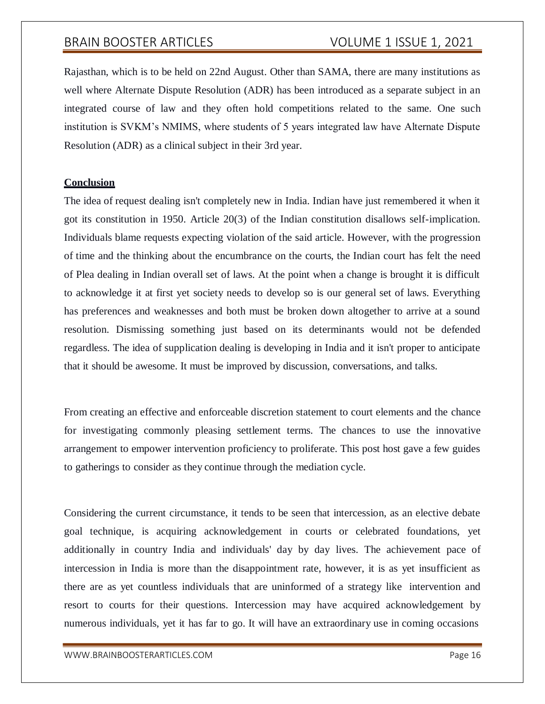Rajasthan, which is to be held on 22nd August. Other than SAMA, there are many institutions as well where Alternate Dispute Resolution (ADR) has been introduced as a separate subject in an integrated course of law and they often hold competitions related to the same. One such institution is SVKM's NMIMS, where students of 5 years integrated law have Alternate Dispute Resolution (ADR) as a clinical subject in their 3rd year.

#### **Conclusion**

The idea of request dealing isn't completely new in India. Indian have just remembered it when it got its constitution in 1950. Article 20(3) of the Indian constitution disallows self-implication. Individuals blame requests expecting violation of the said article. However, with the progression of time and the thinking about the encumbrance on the courts, the Indian court has felt the need of Plea dealing in Indian overall set of laws. At the point when a change is brought it is difficult to acknowledge it at first yet society needs to develop so is our general set of laws. Everything has preferences and weaknesses and both must be broken down altogether to arrive at a sound resolution. Dismissing something just based on its determinants would not be defended regardless. The idea of supplication dealing is developing in India and it isn't proper to anticipate that it should be awesome. It must be improved by discussion, conversations, and talks.

From creating an effective and enforceable discretion statement to court elements and the chance for investigating commonly pleasing settlement terms. The chances to use the innovative arrangement to empower intervention proficiency to proliferate. This post host gave a few guides to gatherings to consider as they continue through the mediation cycle.

Considering the current circumstance, it tends to be seen that intercession, as an elective debate goal technique, is acquiring acknowledgement in courts or celebrated foundations, yet additionally in country India and individuals' day by day lives. The achievement pace of intercession in India is more than the disappointment rate, however, it is as yet insufficient as there are as yet countless individuals that are uninformed of a strategy like intervention and resort to courts for their questions. Intercession may have acquired acknowledgement by numerous individuals, yet it has far to go. It will have an extraordinary use in coming occasions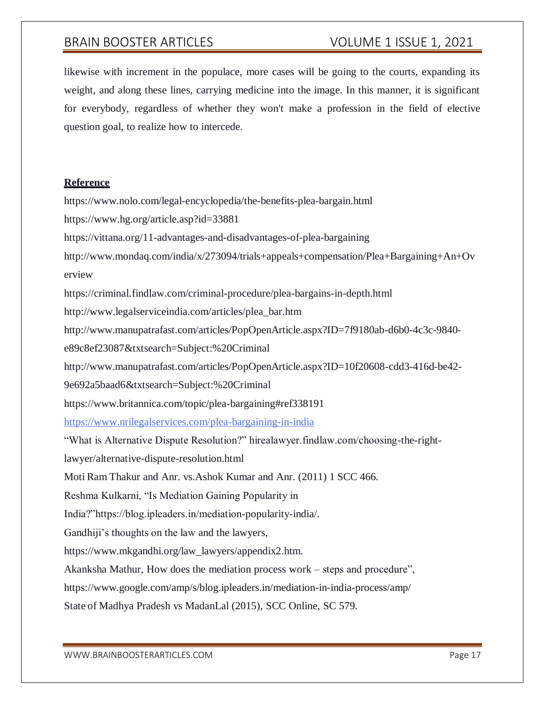likewise with increment in the populace, more cases will be going to the courts, expanding its weight, and along these lines, carrying medicine into the image. In this manner, it is significant for everybody, regardless of whether they won't make a profession in the field of elective question goal, to realize how to intercede.

#### **Reference**

https:[//www.nolo.com/legal-encyclopedia/the-benefits-plea-bargain.html](http://www.nolo.com/legal-encyclopedia/the-benefits-plea-bargain.html) https:[//www.hg.org/article.asp?id=33881](http://www.hg.org/article.asp?id=33881) https://vittana.org/11-advantages-and-disadvantages-of-plea-bargaining [http://www.mondaq.com/india/x/273094/trials+appeals+compensation/Plea+Bargaining+An+Ov](http://www.mondaq.com/india/x/273094/trials%2Bappeals%2Bcompensation/Plea%2BBargaining%2BAn%2BOv) erview https://criminal.findlaw.com/criminal-procedure/plea-bargains-in-depth.html [http://www.legalserviceindia.com/articles/plea\\_bar.htm](http://www.legalserviceindia.com/articles/plea_bar.htm) [http://www.manupatrafast.com/articles/PopOpenArticle.aspx?ID=7f9180ab-d6b0-4c3c-9840](http://www.manupatrafast.com/articles/PopOpenArticle.aspx?ID=7f9180ab-d6b0-4c3c-9840-) e89c8ef23087&txtsearch=Subject:%20Criminal <http://www.manupatrafast.com/articles/PopOpenArticle.aspx?ID=10f20608-cdd3-416d-be42-> 9e692a5baad6&txtsearch=Subject:%20Criminal https:[//www.britannica.com/topic/plea-bargaining#ref338191](http://www.britannica.com/topic/plea-bargaining#ref338191) <https://www.nrilegalservices.com/plea-bargaining-in-india> "What is Alternative Dispute Resolution?" hirealawyer.findlaw.com/choosing-the-rightlawyer/alternative-dispute-resolution.html Moti Ram Thakur and Anr. vs.Ashok Kumar and Anr. (2011) 1 SCC 466. Reshma Kulkarni, "Is Mediation Gaining Popularity in India?"https://blog.ipleaders.in/mediation-popularity-india/. Gandhiji's thoughts on the law and the lawyers, https:[//www.mkgandhi.org/law\\_lawyers/appendix2.htm.](http://www.mkgandhi.org/law_lawyers/appendix2.htm) Akanksha Mathur, How does the mediation process work – steps and procedure", https:[//www.google.com/amp/s/blog.ipleaders.in/mediation-in-india-process/amp/](http://www.google.com/amp/s/blog.ipleaders.in/mediation-in-india-process/amp/) State of Madhya Pradesh vs MadanLal (2015), SCC Online, SC 579.